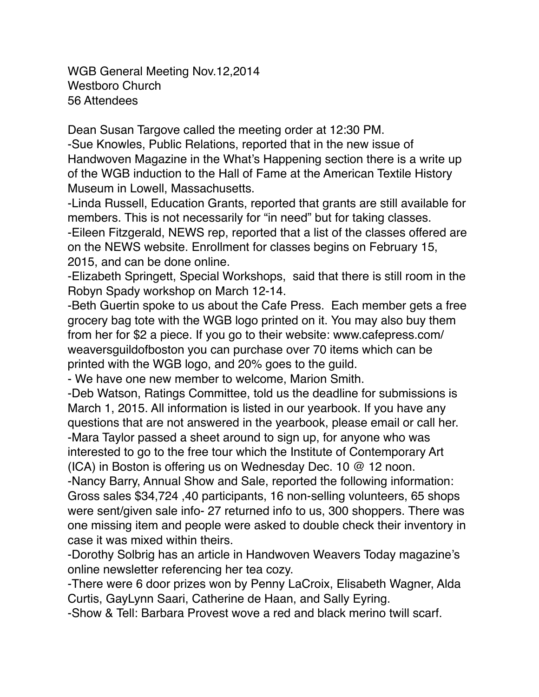WGB General Meeting Nov.12,2014 Westboro Church 56 Attendees

Dean Susan Targove called the meeting order at 12:30 PM.

-Sue Knowles, Public Relations, reported that in the new issue of Handwoven Magazine in the What's Happening section there is a write up of the WGB induction to the Hall of Fame at the American Textile History Museum in Lowell, Massachusetts.

-Linda Russell, Education Grants, reported that grants are still available for members. This is not necessarily for "in need" but for taking classes.

-Eileen Fitzgerald, NEWS rep, reported that a list of the classes offered are on the NEWS website. Enrollment for classes begins on February 15, 2015, and can be done online.

-Elizabeth Springett, Special Workshops, said that there is still room in the Robyn Spady workshop on March 12-14.

-Beth Guertin spoke to us about the Cafe Press. Each member gets a free grocery bag tote with the WGB logo printed on it. You may also buy them from her for \$2 a piece. If you go to their website: www.cafepress.com/ weaversguildofboston you can purchase over 70 items which can be printed with the WGB logo, and 20% goes to the guild.

- We have one new member to welcome, Marion Smith.

-Deb Watson, Ratings Committee, told us the deadline for submissions is March 1, 2015. All information is listed in our yearbook. If you have any questions that are not answered in the yearbook, please email or call her. -Mara Taylor passed a sheet around to sign up, for anyone who was interested to go to the free tour which the Institute of Contemporary Art (ICA) in Boston is offering us on Wednesday Dec. 10 @ 12 noon.

-Nancy Barry, Annual Show and Sale, reported the following information: Gross sales \$34,724 ,40 participants, 16 non-selling volunteers, 65 shops were sent/given sale info- 27 returned info to us, 300 shoppers. There was one missing item and people were asked to double check their inventory in case it was mixed within theirs.

-Dorothy Solbrig has an article in Handwoven Weavers Today magazine's online newsletter referencing her tea cozy.

-There were 6 door prizes won by Penny LaCroix, Elisabeth Wagner, Alda Curtis, GayLynn Saari, Catherine de Haan, and Sally Eyring.

-Show & Tell: Barbara Provest wove a red and black merino twill scarf.